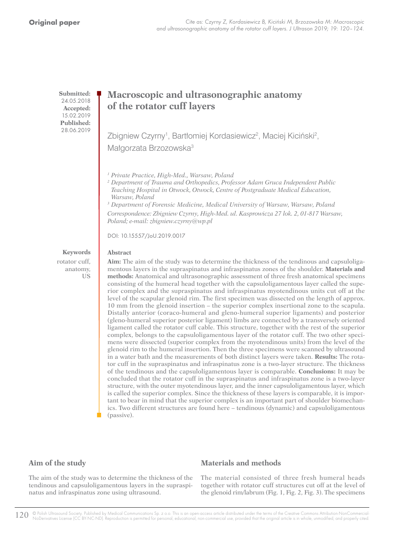**Submitted:** 24.05.2018 **Accepted:** 15.02.2019 **Published:** 28.06.2019

# **Macroscopic and ultrasonographic anatomy of the rotator cuff layers**

Zbigniew Czyrny<sup>1</sup>, Bartłomiej Kordasiewicz<sup>2</sup>, Maciej Kiciński<sup>2</sup>, Małgorzata Brzozowska<sup>3</sup>

*1 Private Practice, High-Med., Warsaw, Poland*

*<sup>2</sup> Department of Trauma and Orthopedics, Professor Adam Gruca Independent Public Teaching Hospital in Otwock, Otwock, Centre of Postgraduate Medical Education, Warsaw, Poland*

*3 Department of Forensic Medicine, Medical University of Warsaw, Warsaw, Poland*

*Correspondence: Zbigniew Czyrny, High-Med. ul. Kasprowicza 27 lok. 2, 01-817 Warsaw, Poland; e-mail: zbigniew.czyrny@wp.pl* 

DOI: 10.15557/JoU.2019.0017

### **Abstract**

**Keywords** rotator cuff, anatomy, US

**Aim:** The aim of the study was to determine the thickness of the tendinous and capsuloligamentous layers in the supraspinatus and infraspinatus zones of the shoulder. **Materials and methods:** Anatomical and ultrasonographic assessment of three fresh anatomical specimens consisting of the humeral head together with the capsuloligamentous layer called the superior complex and the supraspinatus and infraspinatus myotendinous units cut off at the level of the scapular glenoid rim. The first specimen was dissected on the length of approx. 10 mm from the glenoid insertion – the superior complex insertional zone to the scapula. Distally anterior (coraco-humeral and gleno-humeral superior ligaments) and posterior (gleno-humeral superior posterior ligament) limbs are connected by a transversely oriented ligament called the rotator cuff cable. This structure, together with the rest of the superior complex, belongs to the capsuloligamentous layer of the rotator cuff. The two other specimens were dissected (superior complex from the myotendinous units) from the level of the glenoid rim to the humeral insertion. Then the three specimens were scanned by ultrasound in a water bath and the measurements of both distinct layers were taken. **Results:** The rotator cuff in the supraspinatus and infraspinatus zone is a two-layer structure. The thickness of the tendinous and the capsuloligamentous layer is comparable. **Conclusions:** It may be concluded that the rotator cuff in the supraspinatus and infraspinatus zone is a two-layer structure, with the outer myotendinous layer, and the inner capsuloligamentous layer, which is called the superior complex. Since the thickness of these layers is comparable, it is important to bear in mind that the superior complex is an important part of shoulder biomechanics. Two different structures are found here – tendinous (dynamic) and capsuloligamentous (passive).

# **Aim of the study**

## **Materials and methods**

The aim of the study was to determine the thickness of the tendinous and capsuloligamentous layers in the supraspinatus and infraspinatus zone using ultrasound.

The material consisted of three fresh humeral heads together with rotator cuff structures cut off at the level of the glenoid rim/labrum (Fig. 1, Fig. 2, Fig. 3). The specimens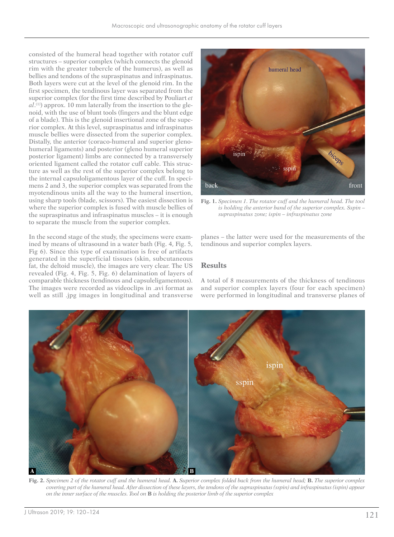consisted of the humeral head together with rotator cuff structures – superior complex (which connects the glenoid rim with the greater tubercle of the humerus), as well as bellies and tendons of the supraspinatus and infraspinatus. Both layers were cut at the level of the glenoid rim. In the first specimen, the tendinous layer was separated from the superior complex (for the first time described by Pouliart *et al*.<sup>(1)</sup>) approx. 10 mm laterally from the insertion to the glenoid, with the use of blunt tools (fingers and the blunt edge of a blade). This is the glenoid insertional zone of the superior complex. At this level, supraspinatus and infraspinatus muscle bellies were dissected from the superior complex. Distally, the anterior (coraco-humeral and superior glenohumeral ligaments) and posterior (gleno humeral superior posterior ligament) limbs are connected by a transversely oriented ligament called the rotator cuff cable. This structure as well as the rest of the superior complex belong to the internal capsuloligamentous layer of the cuff. In specimens 2 and 3, the superior complex was separated from the myotendinous units all the way to the humeral insertion, using sharp tools (blade, scissors). The easiest dissection is where the superior complex is fused with muscle bellies of the supraspinatus and infraspinatus muscles – it is enough to separate the muscle from the superior complex.

In the second stage of the study, the specimens were examined by means of ultrasound in a water bath (Fig. 4, Fig. 5, Fig 6). Since this type of examination is free of artifacts generated in the superficial tissues (skin, subcutaneous fat, the deltoid muscle), the images are very clear. The US revealed (Fig. 4, Fig. 5, Fig. 6) delamination of layers of comparable thickness (tendinous and capsuleligamentous). The images were recorded as videoclips in .avi format as well as still .jpg images in longitudinal and transverse



**Fig. 1.** *Specimen 1. The rotator cuff and the humeral head. The tool is holding the anterior band of the superior complex. Sspin – supraspinatus zone; ispin – infraspinatus zone*

planes – the latter were used for the measurements of the tendinous and superior complex layers.

# **Results**

A total of 8 measurements of the thickness of tendinous and superior complex layers (four for each specimen) were performed in longitudinal and transverse planes of



**Fig. 2.** *Specimen 2 of the rotator cuff and the humeral head.* **A.** *Superior complex folded back from the humeral head;* **B.** *The superior complex covering part of the humeral head. After dissection of these layers, the tendons of the supraspinatus (sspin) and infraspinatus (ispin) appear on the inner surface of the muscles. Tool on* **B** *is holding the posterior limb of the superior complex*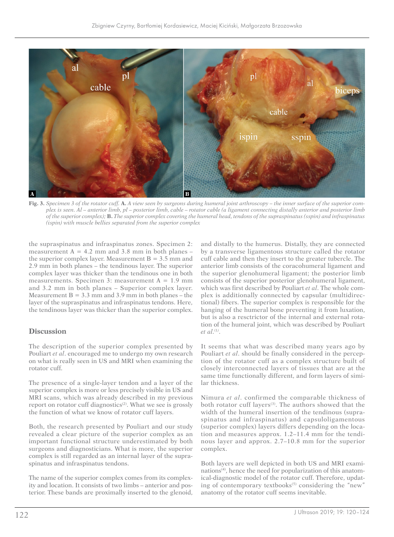

**Fig. 3.** *Specimen 3 of the rotator cuff.* **A.** *A view seen by surgeons during humeral joint arthroscopy – the inner surface of the superior complex is seen. Al – anterior limb, pl – posterior limb, cable – rotator cable (a ligament connecting distally anterior and posterior limb of the superior complex);* **B.** *The superior complex covering the humeral head, tendons of the supraspinatus (sspin) and infraspinatus (ispin) with muscle bellies separated from the superior complex*

the supraspinatus and infraspinatus zones. Specimen 2: measurement  $A = 4.2$  mm and 3.8 mm in both planes – the superior complex layer. Measurement  $B = 3.5$  mm and 2.9 mm in both planes – the tendinous layer. The superior complex layer was thicker than the tendinous one in both measurements. Specimen 3: measurement  $A = 1.9$  mm and 3.2 mm in both planes – Superior complex layer. Measurement  $B = 3.3$  mm and 3.9 mm in both planes – the layer of the supraspinatus and infraspinatus tendons. Here, the tendinous layer was thicker than the superior complex.

### **Discussion**

The description of the superior complex presented by Pouliart *et al*. encouraged me to undergo my own research on what is really seen in US and MRI when examining the rotator cuff.

The presence of a single-layer tendon and a layer of the superior complex is more or less precisely visible in US and MRI scans, which was already described in my previous report on rotator cuff diagnostics<sup>(2)</sup>. What we see is grossly the function of what we know of rotator cuff layers.

Both, the research presented by Pouliart and our study revealed a clear picture of the superior complex as an important functional structure underestimated by both surgeons and diagnosticians. What is more, the superior complex is still regarded as an internal layer of the supraspinatus and infraspinatus tendons.

The name of the superior complex comes from its complexity and location. It consists of two limbs – anterior and posterior. These bands are proximally inserted to the glenoid, and distally to the humerus. Distally, they are connected by a transverse ligamentous structure called the rotator cuff cable and then they insert to the greater tubercle. The anterior limb consists of the coracohumeral ligament and the superior glenohumeral ligament; the posterior limb consists of the superior posterior glenohumeral ligament, which was first described by Pouliart *et al*. The whole complex is additionally connected by capsular (multidirectional) fibers. The superior complex is responsible for the hanging of the humeral bone preventing it from luxation, but is also a resctrictor of the internal and external rotation of the humeral joint, which was described by Pouliart *et al.*(1*)* .

It seems that what was described many years ago by Pouliart *et al*. should be finally considered in the perception of the rotator cuff as a complex structure built of closely interconnected layers of tissues that are at the same time functionally different, and form layers of similar thickness.

Nimura *et al*. confirmed the comparable thickness of both rotator cuff layers<sup>(3)</sup>. The authors showed that the width of the humeral insertion of the tendinous (supraspinatus and infraspinatus) and capsuloligamentous (superior complex) layers differs depending on the location and measures approx. 1.2–11.4 mm for the tendinous layer and approx. 2.7–10.8 mm for the superior complex.

Both layers are well depicted in both US and MRI examinations<sup>(4)</sup>, hence the need for popularization of this anatomical-diagnostic model of the rotator cuff. Therefore, updating of contemporary textbooks $(5)$  considering the "new" anatomy of the rotator cuff seems inevitable.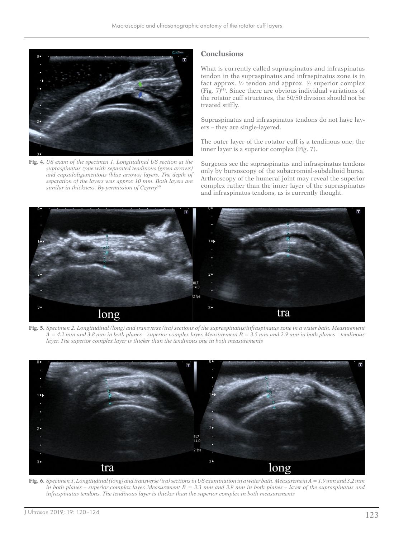

**Fig. 4.** *US exam of the specimen 1. Longitudinal US section at the supraspinatus zone with separated tendinous (green arrows) and capsuloligamentous (blue arrows) layers. The depth of separation of the layers was approx 10 mm. Both layers are similar in thickness. By permission of Czyrny(4)*

### **Conclusions**

What is currently called supraspinatus and infraspinatus tendon in the supraspinatus and infraspinatus zone is in fact approx.  $\frac{1}{2}$  tendon and approx.  $\frac{1}{2}$  superior complex (Fig.  $7)^{(4)}$ ). Since there are obvious individual variations of the rotator cuff structures, the 50/50 division should not be treated stiffly.

Supraspinatus and infraspinatus tendons do not have layers – they are single-layered.

The outer layer of the rotator cuff is a tendinous one; the inner layer is a superior complex (Fig. 7).

Surgeons see the supraspinatus and infraspinatus tendons only by bursoscopy of the subacromial-subdeltoid bursa. Arthroscopy of the humeral joint may reveal the superior complex rather than the inner layer of the supraspinatus and infraspinatus tendons, as is currently thought.



**Fig. 5.** *Specimen 2. Longitudinal (long) and transverse (tra) sections of the supraspinatus/infraspinatus zone in a water bath. Measurement A = 4.2 mm and 3.8 mm in both planes – superior complex layer. Measurement B = 3.5 mm and 2.9 mm in both planes – tendinous layer. The superior complex layer is thicker than the tendinous one in both measurements*



**Fig. 6.** *Specimen 3. Longitudinal (long) and transverse (tra) sections in US examination in a water bath. Measurement A = 1.9 mm and 3.2 mm in both planes – superior complex layer. Measurement B = 3.3 mm and 3.9 mm in both planes – layer of the supraspinatus and infraspinatus tendons. The tendinous layer is thicker than the superior complex in both measurements*